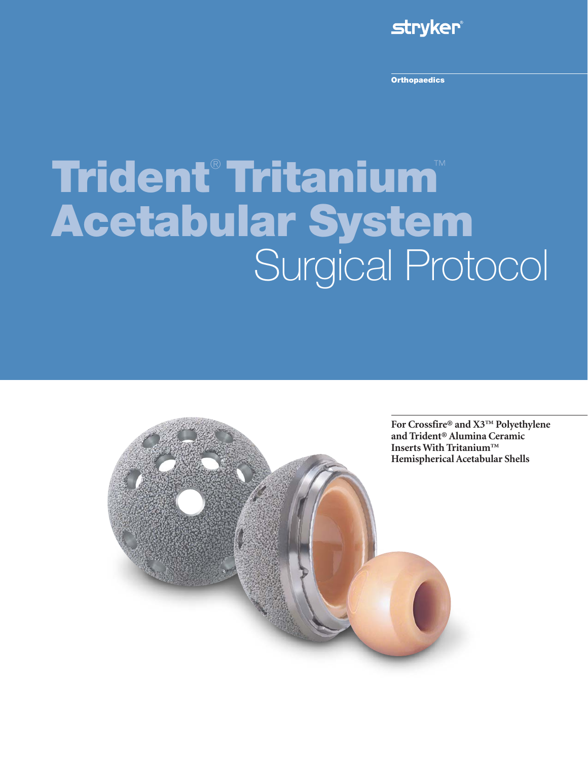

**Orthopaedics**

# **Trident**® **Tritanium**™ **Acetabular System** Surgical Protocol

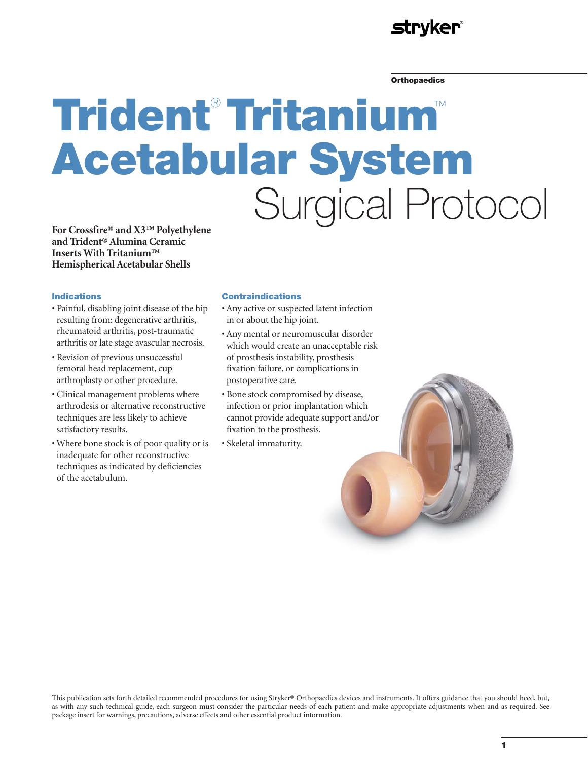## **stryker**®

#### **Orthopaedics**

# **Trident**® **Tritanium**™ **Acetabular System** Surgical Protocol

**For Crossfire® and X3™ Polyethylene and Trident® Alumina Ceramic Inserts With Tritanium™ Hemispherical Acetabular Shells**

#### **Indications**

- Painful, disabling joint disease of the hip resulting from: degenerative arthritis, rheumatoid arthritis, post-traumatic arthritis or late stage avascular necrosis.
- Revision of previous unsuccessful femoral head replacement, cup arthroplasty or other procedure.
- Clinical management problems where arthrodesis or alternative reconstructive techniques are less likely to achieve satisfactory results.
- Where bone stock is of poor quality or is inadequate for other reconstructive techniques as indicated by deficiencies of the acetabulum.

#### **Contraindications**

- Any active or suspected latent infection in or about the hip joint.
- Any mental or neuromuscular disorder which would create an unacceptable risk of prosthesis instability, prosthesis fixation failure, or complications in postoperative care.
- Bone stock compromised by disease, infection or prior implantation which cannot provide adequate support and/or fixation to the prosthesis.
- Skeletal immaturity.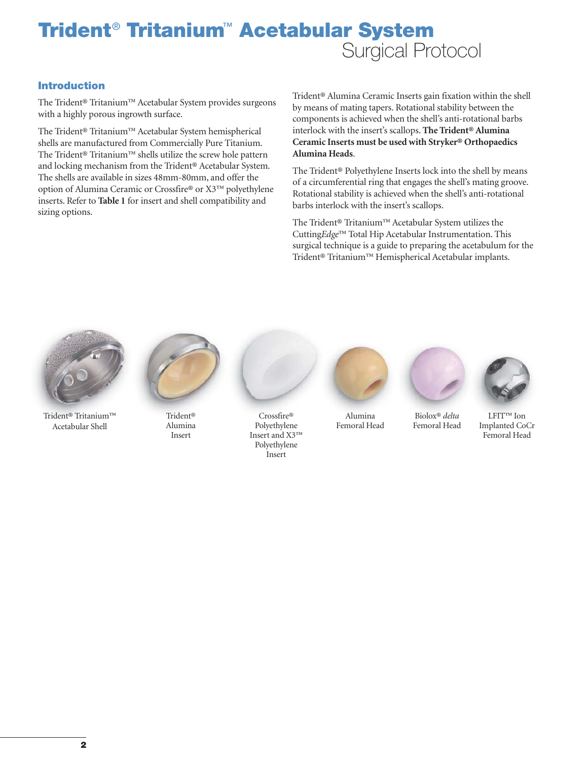### **Introduction**

The Trident® Tritanium™ Acetabular System provides surgeons with a highly porous ingrowth surface.

The Trident® Tritanium™ Acetabular System hemispherical shells are manufactured from Commercially Pure Titanium. The Trident® Tritanium™ shells utilize the screw hole pattern and locking mechanism from the Trident® Acetabular System. The shells are available in sizes 48mm-80mm, and offer the option of Alumina Ceramic or Crossfire® or X3™ polyethylene inserts. Refer to **Table 1** for insert and shell compatibility and sizing options.

Trident® Alumina Ceramic Inserts gain fixation within the shell by means of mating tapers. Rotational stability between the components is achieved when the shell's anti-rotational barbs interlock with the insert's scallops. **The Trident® Alumina Ceramic Inserts must be used with Stryker® Orthopaedics Alumina Heads**.

The Trident® Polyethylene Inserts lock into the shell by means of a circumferential ring that engages the shell's mating groove. Rotational stability is achieved when the shell's anti-rotational barbs interlock with the insert's scallops.

The Trident® Tritanium™ Acetabular System utilizes the Cutting*Edge*™ Total Hip Acetabular Instrumentation. This surgical technique is a guide to preparing the acetabulum for the Trident® Tritanium™ Hemispherical Acetabular implants.



Trident® Tritanium™ Acetabular Shell



Trident® Alumina Insert



Crossfire® Polyethylene Insert and X3™ Polyethylene Insert



Alumina Femoral Head



Biolox® *delta* Femoral Head



LFIT™ Ion Implanted CoCr Femoral Head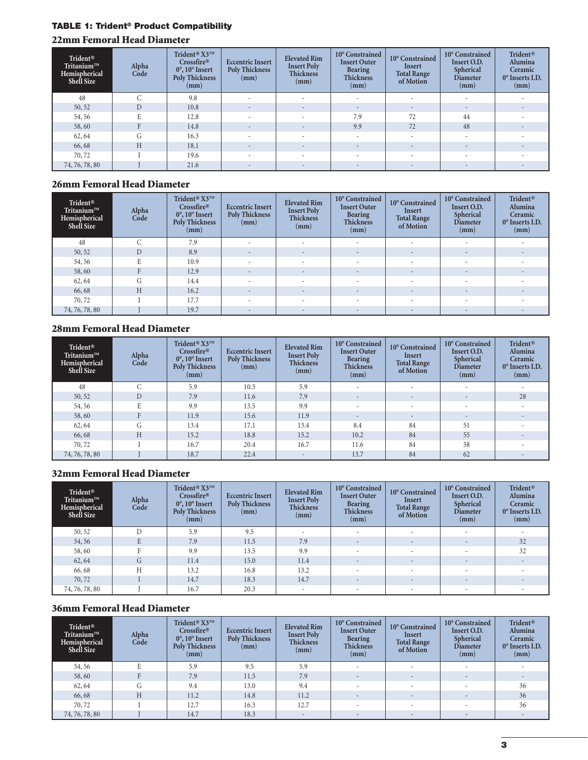## **TABLE 1: Trident® Product Compatibility**

## **22mm Femoral Head Diameter**

| Trident®<br>Tritanium™<br>Hemispherical<br>Shell Size | Alpha<br>Code    | Trident <sup>®</sup> X3™<br>Crossfire®<br>$0^\circ$ , $10^\circ$ Insert<br><b>Poly Thickness</b><br>(mm) | <b>Eccentric Insert</b><br><b>Poly Thickness</b><br>(mm) | <b>Elevated Rim</b><br><b>Insert Poly</b><br><b>Thickness</b><br>(mm) | 10° Constrained<br><b>Insert Outer</b><br><b>Bearing</b><br><b>Thickness</b><br>(mm) | 10° Constrained<br>Insert<br><b>Total Range</b><br>of Motion | 10° Constrained<br>Insert O.D.<br>Spherical<br><b>Diameter</b><br>(mm) | <b>Trident®</b><br>Alumina<br>Ceramic<br>0° Inserts I.D.<br>(mm) |
|-------------------------------------------------------|------------------|----------------------------------------------------------------------------------------------------------|----------------------------------------------------------|-----------------------------------------------------------------------|--------------------------------------------------------------------------------------|--------------------------------------------------------------|------------------------------------------------------------------------|------------------------------------------------------------------|
| 48                                                    | $\sqrt{2}$       | 9.8                                                                                                      | $\sim$                                                   |                                                                       |                                                                                      | $\sim$                                                       | $\sim$                                                                 |                                                                  |
| 50, 52                                                | D                | 10.8                                                                                                     | $\sim$                                                   | $\sim$                                                                |                                                                                      | $\overline{\phantom{a}}$                                     | $\overline{\phantom{a}}$                                               |                                                                  |
| 54,56                                                 |                  | 12.8                                                                                                     |                                                          |                                                                       | 7.9                                                                                  | 72                                                           | 44                                                                     |                                                                  |
| 58,60                                                 |                  | 14.8                                                                                                     | $\sim$                                                   | $\sim$                                                                | 9.9                                                                                  | 72                                                           | 48                                                                     |                                                                  |
| 62,64                                                 | $\sqrt{2}$<br>Сī | 16.3                                                                                                     | ۰                                                        |                                                                       |                                                                                      | ۰                                                            |                                                                        |                                                                  |
| 66,68                                                 | H                | 18.1                                                                                                     |                                                          |                                                                       |                                                                                      | $\overline{\phantom{a}}$                                     | $\overline{\phantom{a}}$                                               |                                                                  |
| 70,72                                                 |                  | 19.6                                                                                                     | ۰                                                        | $\sim$                                                                |                                                                                      | $\sim$                                                       | $\sim$                                                                 |                                                                  |
| 74, 76, 78, 80                                        |                  | 21.6                                                                                                     | $\sim$                                                   | $\sim$                                                                | $\sim$                                                                               | $\overline{\phantom{a}}$                                     | $\sim$                                                                 |                                                                  |

## **26mm Femoral Head Diameter**

| Trident®<br>Tritanium™<br>Hemispherical<br>Shell Size | Alpha<br>Code  | Trident® X3™<br>Crossfire®<br>$0^\circ$ , $10^\circ$ Insert<br><b>Poly Thickness</b><br>(mm) | <b>Eccentric Insert</b><br><b>Poly Thickness</b><br>(mm) | <b>Elevated Rim</b><br><b>Insert Poly</b><br><b>Thickness</b><br>(mm) | 10° Constrained<br><b>Insert Outer</b><br><b>Bearing</b><br><b>Thickness</b><br>(mm) | 10° Constrained<br>Insert<br><b>Total Range</b><br>of Motion | 10° Constrained<br>Insert O.D.<br>Spherical<br><b>Diameter</b><br>(mm) | <b>Trident®</b><br>Alumina<br>Ceramic<br>$0^\circ$ Inserts I.D.<br>(mm) |
|-------------------------------------------------------|----------------|----------------------------------------------------------------------------------------------|----------------------------------------------------------|-----------------------------------------------------------------------|--------------------------------------------------------------------------------------|--------------------------------------------------------------|------------------------------------------------------------------------|-------------------------------------------------------------------------|
| 48                                                    | $\sqrt{2}$     | 7.9                                                                                          | $\sim$                                                   | $\sim$                                                                | ۰.                                                                                   | ٠                                                            | $\sim$                                                                 |                                                                         |
| 50, 52                                                | $\overline{D}$ | 8.9                                                                                          | $\overline{a}$                                           | $\sim$                                                                |                                                                                      | $\overline{\phantom{a}}$                                     | $\overline{\phantom{a}}$                                               |                                                                         |
| 54,56                                                 |                | 10.9                                                                                         |                                                          |                                                                       |                                                                                      |                                                              |                                                                        |                                                                         |
| 58,60                                                 |                | 12.9                                                                                         | $\sim$                                                   | $\sim$                                                                | $\sim$                                                                               | $\overline{\phantom{a}}$                                     | $\overline{\phantom{a}}$                                               |                                                                         |
| 62,64                                                 | (т             | 14.4                                                                                         |                                                          |                                                                       |                                                                                      |                                                              | $\sim$                                                                 |                                                                         |
| 66,68                                                 | Н              | 16.2                                                                                         | $\sim$                                                   | $\sim$                                                                | $\sim$                                                                               | $\overline{\phantom{a}}$                                     | $\overline{\phantom{a}}$                                               |                                                                         |
| 70,72                                                 |                | 17.7                                                                                         | $\sim$                                                   |                                                                       |                                                                                      | $\overline{\phantom{a}}$                                     |                                                                        |                                                                         |
| 74, 76, 78, 80                                        |                | 19.7                                                                                         |                                                          |                                                                       |                                                                                      | $\overline{\phantom{a}}$                                     | $\overline{\phantom{a}}$                                               |                                                                         |

## **28mm Femoral Head Diameter**

| Trident®<br>$Tritanium^{TM}$<br>Hemispherical<br>Shell Size | Alpha<br>Code | Trident <sup>®</sup> X3™<br>Crossfire®<br>$0^\circ$ , $10^\circ$ Insert<br><b>Poly Thickness</b><br>(mm) | <b>Eccentric Insert</b><br><b>Poly Thickness</b><br>(mm) | <b>Elevated Rim</b><br><b>Insert Poly</b><br><b>Thickness</b><br>(mm) | 10° Constrained<br><b>Insert Outer</b><br><b>Bearing</b><br><b>Thickness</b><br>(mm) | 10° Constrained<br>Insert<br><b>Total Range</b><br>of Motion | 10° Constrained<br>Insert O.D.<br>Spherical<br><b>Diameter</b><br>(mm) | Trident®<br>Alumina<br>Ceramic<br>$0^\circ$ Inserts I.D.<br>(mm) |
|-------------------------------------------------------------|---------------|----------------------------------------------------------------------------------------------------------|----------------------------------------------------------|-----------------------------------------------------------------------|--------------------------------------------------------------------------------------|--------------------------------------------------------------|------------------------------------------------------------------------|------------------------------------------------------------------|
| 48                                                          | $\sqrt{2}$    | 5.9                                                                                                      | 10.5                                                     | 5.9                                                                   | $\sim$                                                                               |                                                              |                                                                        |                                                                  |
| 50, 52                                                      |               | 7.9                                                                                                      | 11.6                                                     | 7.9                                                                   | $\overline{\phantom{a}}$                                                             | $\overline{\phantom{a}}$                                     | $\qquad \qquad$                                                        | 28                                                               |
| 54,56                                                       |               | 9.9                                                                                                      | 13.5                                                     | 9.9                                                                   |                                                                                      | $\sim$                                                       | ٠                                                                      | $\sim$                                                           |
| 58,60                                                       |               | 11.9                                                                                                     | 15.6                                                     | 11.9                                                                  | $\sim$                                                                               | $\sim$                                                       | $\overline{\phantom{a}}$                                               |                                                                  |
| 62,64                                                       | G             | 13.4                                                                                                     | 17.1                                                     | 13.4                                                                  | 8.4                                                                                  | 84                                                           | 51                                                                     |                                                                  |
| 66,68                                                       | H             | 15.2                                                                                                     | 18.8                                                     | 15.2                                                                  | 10.2                                                                                 | 84                                                           | 55                                                                     |                                                                  |
| 70,72                                                       |               | 16.7                                                                                                     | 20.4                                                     | 16.7                                                                  | 11.6                                                                                 | 84                                                           | 58                                                                     |                                                                  |
| 74, 76, 78, 80                                              |               | 18.7                                                                                                     | 22.4                                                     | $\overline{\phantom{a}}$                                              | 13.7                                                                                 | 84                                                           | 62                                                                     | $\overline{\phantom{a}}$                                         |

### **32mm Femoral Head Diameter**

| Trident®<br>Tritanium™<br>Hemispherical<br>Shell Size | Alpha<br>Code | Trident <sup>®</sup> X3™<br>Crossfire®<br>$0^\circ$ , $10^\circ$ Insert<br><b>Poly Thickness</b><br>(mm) | <b>Eccentric Insert</b><br><b>Poly Thickness</b><br>(mm) | <b>Elevated Rim</b><br><b>Insert Poly</b><br><b>Thickness</b><br>(mm) | 10° Constrained<br><b>Insert Outer</b><br><b>Bearing</b><br><b>Thickness</b><br>(mm) | 10° Constrained<br>Insert<br><b>Total Range</b><br>of Motion | 10° Constrained<br>Insert O.D.<br>Spherical<br><b>Diameter</b><br>(mm) | Trident®<br>Alumina<br>Ceramic<br>0° Inserts I.D.<br>(mm) |
|-------------------------------------------------------|---------------|----------------------------------------------------------------------------------------------------------|----------------------------------------------------------|-----------------------------------------------------------------------|--------------------------------------------------------------------------------------|--------------------------------------------------------------|------------------------------------------------------------------------|-----------------------------------------------------------|
| 50, 52                                                | D             | 5.9                                                                                                      | 9.5                                                      |                                                                       | ۰.                                                                                   | $\overline{\phantom{a}}$                                     | $\overline{\phantom{a}}$                                               |                                                           |
| 54,56                                                 | F.            | 7.9                                                                                                      | 11.5                                                     | 7.9                                                                   |                                                                                      | $\overline{\phantom{a}}$                                     | $\overline{\phantom{a}}$                                               | 32                                                        |
| 58,60                                                 |               | 9.9                                                                                                      | 13.5                                                     | 9.9                                                                   |                                                                                      |                                                              | $\overline{\phantom{a}}$                                               | 32                                                        |
| 62,64                                                 | G             | 11.4                                                                                                     | 15.0                                                     | 11.4                                                                  | $\sim$                                                                               | $\overline{\phantom{a}}$                                     | $\qquad \qquad \blacksquare$                                           |                                                           |
| 66,68                                                 | Н             | 13.2                                                                                                     | 16.8                                                     | 13.2                                                                  | $\sim$                                                                               |                                                              | $\sim$                                                                 |                                                           |
| 70,72                                                 |               | 14.7                                                                                                     | 18.3                                                     | 14.7                                                                  | $\sim$                                                                               | $\sim$                                                       | $\overline{\phantom{a}}$                                               |                                                           |
| 74, 76, 78, 80                                        |               | 16.7                                                                                                     | 20.3                                                     | ٠                                                                     |                                                                                      | $\sim$                                                       | $\overline{\phantom{a}}$                                               |                                                           |

## **36mm Femoral Head Diameter**

| Trident®<br>Tritanium™<br>Hemispherical<br>Shell Size | Alpha<br>Code | Trident <sup>®</sup> X3™<br>Crossfire®<br>$0^\circ$ , $10^\circ$ Insert<br><b>Poly Thickness</b><br>(mm) | <b>Eccentric Insert</b><br><b>Poly Thickness</b><br>(mm) | <b>Elevated Rim</b><br><b>Insert Poly</b><br><b>Thickness</b><br>(mm) | 10° Constrained<br><b>Insert Outer</b><br><b>Bearing</b><br><b>Thickness</b><br>(mm) | 10° Constrained<br><b>Insert</b><br><b>Total Range</b><br>of Motion | 10° Constrained<br>Insert O.D.<br>Spherical<br>Diameter<br>(mm) | Trident®<br><b>Alumina</b><br>Ceramic<br>$0^\circ$ Inserts I.D.<br>(mm) |
|-------------------------------------------------------|---------------|----------------------------------------------------------------------------------------------------------|----------------------------------------------------------|-----------------------------------------------------------------------|--------------------------------------------------------------------------------------|---------------------------------------------------------------------|-----------------------------------------------------------------|-------------------------------------------------------------------------|
| 54,56                                                 |               | 5.9                                                                                                      | 9.5                                                      | 5.9                                                                   |                                                                                      | $\sim$                                                              | $\overline{\phantom{a}}$                                        |                                                                         |
| 58,60                                                 |               | 7.9                                                                                                      | 11.5                                                     | 7.9                                                                   |                                                                                      | $\overline{a}$                                                      | $\overline{\phantom{a}}$                                        |                                                                         |
| 62,64                                                 | G             | 9.4                                                                                                      | 13.0                                                     | 9.4                                                                   | $\sim$                                                                               | $\sim$                                                              | $\overline{\phantom{a}}$                                        | 36                                                                      |
| 66,68                                                 | H             | 11.2                                                                                                     | 14.8                                                     | 11.2                                                                  | $\overline{\phantom{a}}$                                                             | $\overline{\phantom{a}}$                                            | $\overline{\phantom{a}}$                                        | 36                                                                      |
| 70,72                                                 |               | 12.7                                                                                                     | 16.3                                                     | 12.7                                                                  |                                                                                      | ۰                                                                   | $\overline{\phantom{a}}$                                        | 36                                                                      |
| 74, 76, 78, 80                                        |               | 14.7                                                                                                     | 18.3                                                     | $\sim$                                                                | $\overline{\phantom{a}}$                                                             | $\overline{\phantom{a}}$                                            | $\overline{\phantom{a}}$                                        |                                                                         |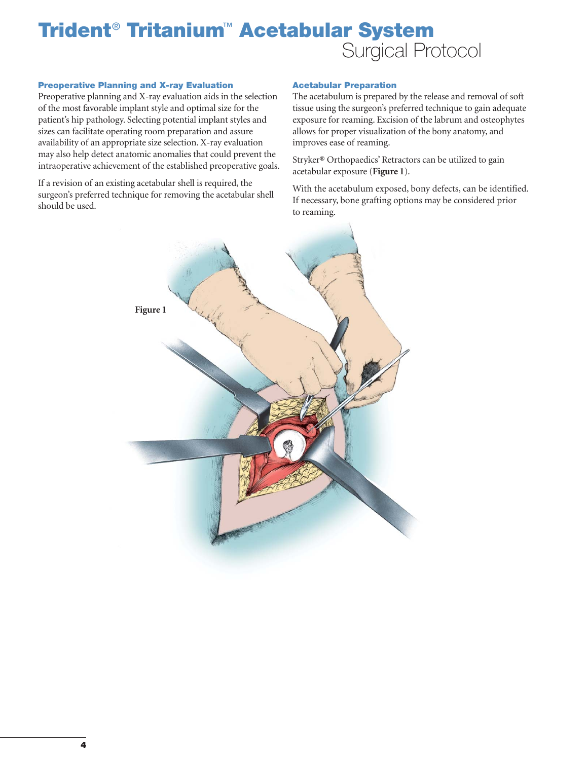#### **Preoperative Planning and X-ray Evaluation**

Preoperative planning and X-ray evaluation aids in the selection of the most favorable implant style and optimal size for the patient's hip pathology. Selecting potential implant styles and sizes can facilitate operating room preparation and assure availability of an appropriate size selection. X-ray evaluation may also help detect anatomic anomalies that could prevent the intraoperative achievement of the established preoperative goals.

If a revision of an existing acetabular shell is required, the surgeon's preferred technique for removing the acetabular shell should be used.

#### **Acetabular Preparation**

The acetabulum is prepared by the release and removal of soft tissue using the surgeon's preferred technique to gain adequate exposure for reaming. Excision of the labrum and osteophytes allows for proper visualization of the bony anatomy, and improves ease of reaming.

Stryker® Orthopaedics' Retractors can be utilized to gain acetabular exposure (**Figure 1**).

With the acetabulum exposed, bony defects, can be identified. If necessary, bone grafting options may be considered prior to reaming.

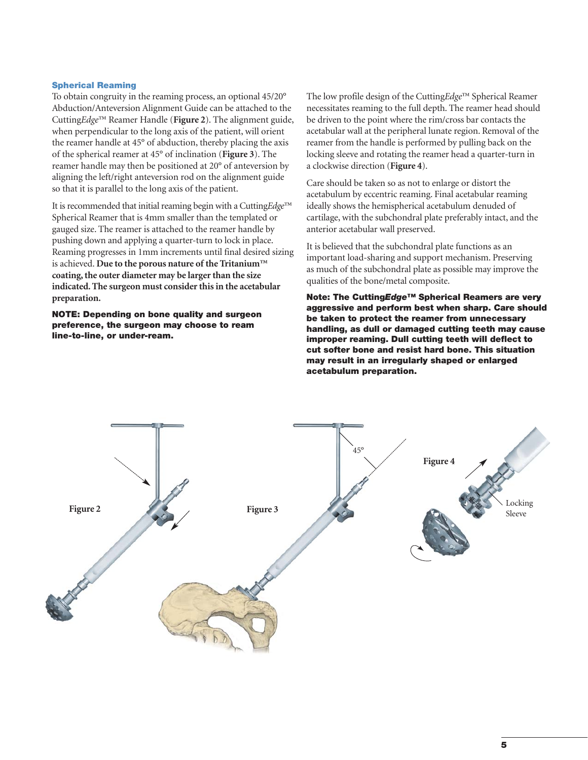#### **Spherical Reaming**

To obtain congruity in the reaming process, an optional 45/20° Abduction/Anteversion Alignment Guide can be attached to the Cutting*Edge*™ Reamer Handle (**Figure 2**). The alignment guide, when perpendicular to the long axis of the patient, will orient the reamer handle at 45° of abduction, thereby placing the axis of the spherical reamer at 45° of inclination (**Figure 3**). The reamer handle may then be positioned at 20° of anteversion by aligning the left/right anteversion rod on the alignment guide so that it is parallel to the long axis of the patient.

It is recommended that initial reaming begin with a Cutting*Edge*™ Spherical Reamer that is 4mm smaller than the templated or gauged size. The reamer is attached to the reamer handle by pushing down and applying a quarter-turn to lock in place. Reaming progresses in 1mm increments until final desired sizing is achieved. **Due to the porous nature of the Tritanium™ coating, the outer diameter may be larger than the size indicated. The surgeon must consider this in the acetabular preparation.**

**NOTE: Depending on bone quality and surgeon preference, the surgeon may choose to ream line-to-line, or under-ream.**

The low profile design of the Cutting*Edge*™ Spherical Reamer necessitates reaming to the full depth. The reamer head should be driven to the point where the rim/cross bar contacts the acetabular wall at the peripheral lunate region. Removal of the reamer from the handle is performed by pulling back on the locking sleeve and rotating the reamer head a quarter-turn in a clockwise direction (**Figure 4**).

Care should be taken so as not to enlarge or distort the acetabulum by eccentric reaming. Final acetabular reaming ideally shows the hemispherical acetabulum denuded of cartilage, with the subchondral plate preferably intact, and the anterior acetabular wall preserved.

It is believed that the subchondral plate functions as an important load-sharing and support mechanism. Preserving as much of the subchondral plate as possible may improve the qualities of the bone/metal composite.

**Note: The Cutting***Edge***™ Spherical Reamers are very aggressive and perform best when sharp. Care should be taken to protect the reamer from unnecessary handling, as dull or damaged cutting teeth may cause improper reaming. Dull cutting teeth will deflect to cut softer bone and resist hard bone. This situation may result in an irregularly shaped or enlarged acetabulum preparation.**

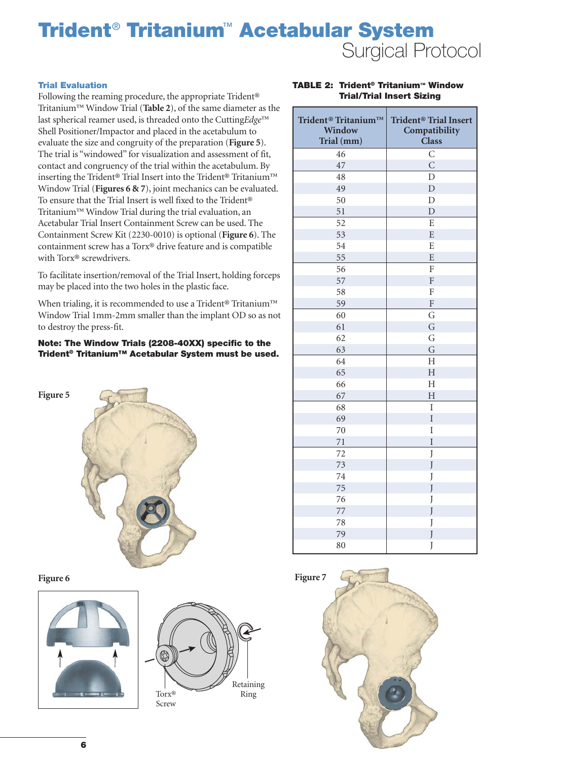#### **Trial Evaluation**

Following the reaming procedure, the appropriate Trident® Tritanium™ Window Trial (**Table 2**), of the same diameter as the last spherical reamer used, is threaded onto the Cutting*Edge*™ Shell Positioner/Impactor and placed in the acetabulum to evaluate the size and congruity of the preparation (**Figure 5**). The trial is "windowed" for visualization and assessment of fit, contact and congruency of the trial within the acetabulum. By inserting the Trident® Trial Insert into the Trident® Tritanium™ Window Trial (**Figures 6 & 7**), joint mechanics can be evaluated. To ensure that the Trial Insert is well fixed to the Trident® Tritanium™ Window Trial during the trial evaluation, an Acetabular Trial Insert Containment Screw can be used. The Containment Screw Kit (2230-0010) is optional (**Figure 6**). The containment screw has a Torx® drive feature and is compatible with Torx® screwdrivers.

To facilitate insertion/removal of the Trial Insert, holding forceps may be placed into the two holes in the plastic face.

When trialing, it is recommended to use a Trident<sup>®</sup> Tritanium™ Window Trial 1mm-2mm smaller than the implant OD so as not to destroy the press-fit.

**Note: The Window Trials (2208-40XX) specific to the Trident® Tritanium™ Acetabular System must be used.**



**Figure 6**





#### **TABLE 2: Trident® Tritanium™ Window Trial/Trial Insert Sizing**

| Trident <sup>®</sup> Tritanium™<br>Window<br>Trial (mm) | Trident <sup>®</sup> Trial Insert<br>Compatibility<br><b>Class</b> |
|---------------------------------------------------------|--------------------------------------------------------------------|
| 46                                                      | $\mathsf{C}$                                                       |
| 47                                                      | $\overline{C}$                                                     |
| 48                                                      | D                                                                  |
| 49                                                      | $\overline{D}$                                                     |
| 50                                                      | $\overline{D}$                                                     |
| 51                                                      | $\overline{D}$                                                     |
| 52                                                      | E                                                                  |
| 53                                                      | ${\bf E}$                                                          |
| 54                                                      | E                                                                  |
| 55                                                      | E                                                                  |
| 56                                                      | ${\bf F}$                                                          |
| 57                                                      | ${\bf F}$                                                          |
| 58                                                      | ${\rm F}$                                                          |
| 59                                                      | ${\bf F}$                                                          |
| 60                                                      | G                                                                  |
| 61                                                      | G                                                                  |
| 62                                                      | G                                                                  |
| 63                                                      | G                                                                  |
| 64                                                      | $\overline{\mathrm{H}}$                                            |
| 65                                                      | $\overline{H}$                                                     |
| 66                                                      | $\overline{\mathrm{H}}$                                            |
| 67                                                      | $\overline{H}$                                                     |
| 68                                                      | $\rm I$                                                            |
| 69                                                      | I                                                                  |
| 70                                                      | I                                                                  |
| 71                                                      | $\rm I$                                                            |
| 72                                                      | J                                                                  |
| 73                                                      | J                                                                  |
| 74                                                      | J                                                                  |
| 75                                                      | J                                                                  |
| 76                                                      | J                                                                  |
| 77                                                      | J                                                                  |
| 78                                                      | J                                                                  |
| 79                                                      | J                                                                  |
| 80                                                      | J                                                                  |

**Figure 7**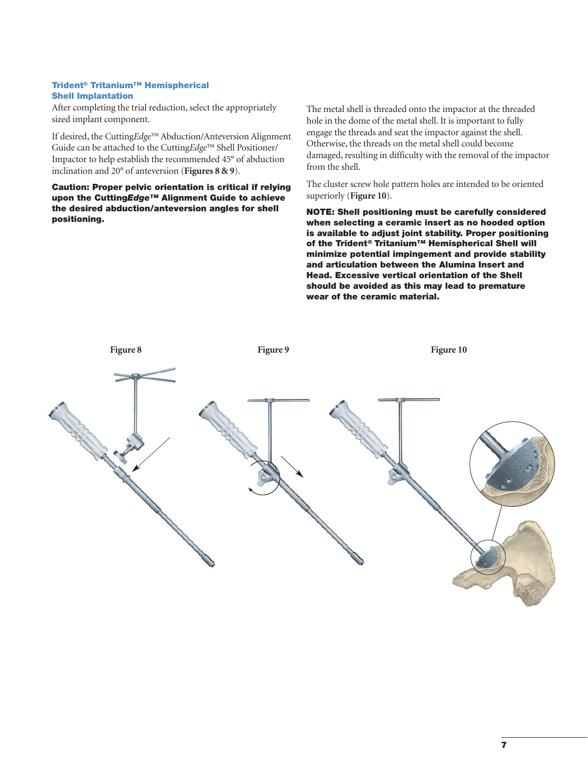#### **Trident® Tritanium™ Hemispherical Shell Implantation**

After completing the trial reduction, select the appropriately sized implant component.

If desired, the Cutting*Edge*™ Abduction/Anteversion Alignment Guide can be attached to the Cutting*Edge*™ Shell Positioner/ Impactor to help establish the recommended 45° of abduction inclination and 20° of anteversion (**Figures 8 & 9**).

**Caution: Proper pelvic orientation is critical if relying upon the Cutting***Edge***™ Alignment Guide to achieve the desired abduction/anteversion angles for shell positioning.**

The metal shell is threaded onto the impactor at the threaded hole in the dome of the metal shell. It is important to fully engage the threads and seat the impactor against the shell. Otherwise, the threads on the metal shell could become damaged, resulting in difficulty with the removal of the impactor from the shell.

The cluster screw hole pattern holes are intended to be oriented superiorly (**Figure 10**).

**NOTE: Shell positioning must be carefully considered when selecting a ceramic insert as no hooded option is available to adjust joint stability. Proper positioning of the Trident® Tritanium™ Hemispherical Shell will minimize potential impingement and provide stability and articulation between the Alumina Insert and Head. Excessive vertical orientation of the Shell should be avoided as this may lead to premature wear of the ceramic material.**

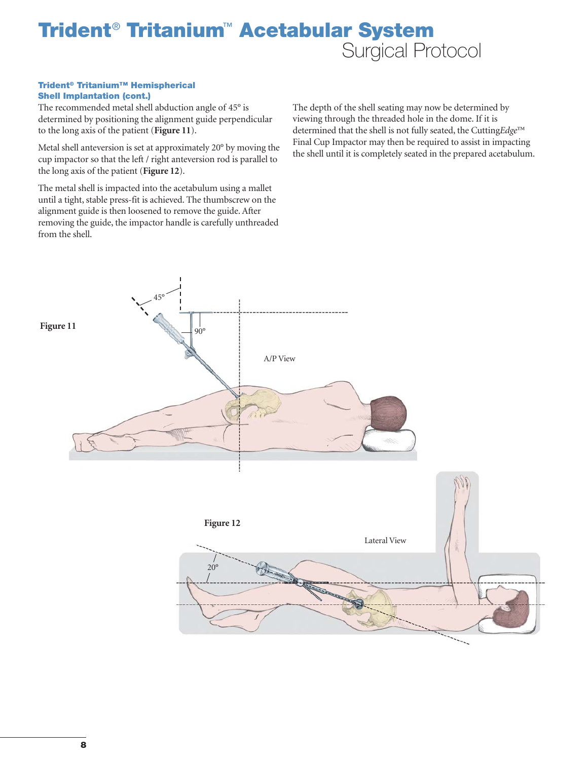#### **Trident® Tritanium™ Hemispherical Shell Implantation (cont.)**

The recommended metal shell abduction angle of 45° is determined by positioning the alignment guide perpendicular to the long axis of the patient (**Figure 11**).

Metal shell anteversion is set at approximately 20° by moving the cup impactor so that the left / right anteversion rod is parallel to the long axis of the patient (**Figure 12**).

The metal shell is impacted into the acetabulum using a mallet until a tight, stable press-fit is achieved. The thumbscrew on the alignment guide is then loosened to remove the guide. After removing the guide, the impactor handle is carefully unthreaded from the shell.

The depth of the shell seating may now be determined by viewing through the threaded hole in the dome. If it is determined that the shell is not fully seated, the Cutting*Edge*™ Final Cup Impactor may then be required to assist in impacting the shell until it is completely seated in the prepared acetabulum.

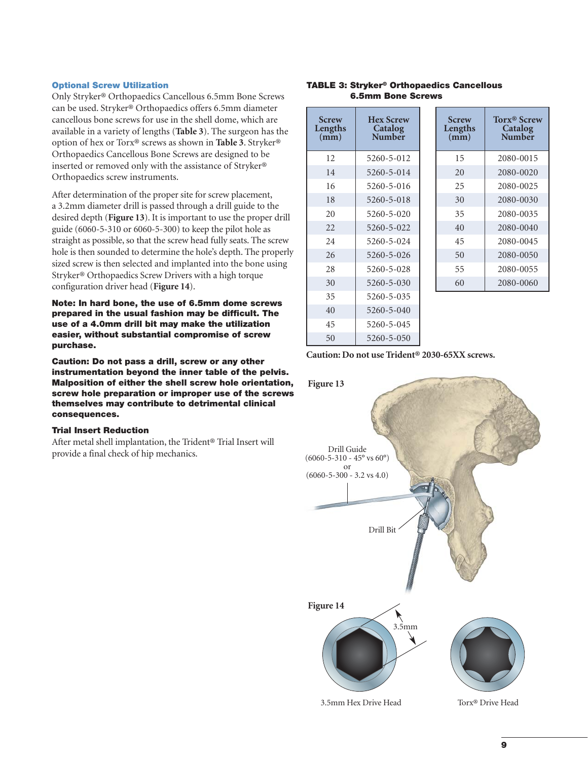#### **Optional Screw Utilization**

Only Stryker® Orthopaedics Cancellous 6.5mm Bone Screws can be used. Stryker® Orthopaedics offers 6.5mm diameter cancellous bone screws for use in the shell dome, which are available in a variety of lengths (**Table 3**). The surgeon has the option of hex or Torx® screws as shown in **Table 3**. Stryker® Orthopaedics Cancellous Bone Screws are designed to be inserted or removed only with the assistance of Stryker® Orthopaedics screw instruments.

After determination of the proper site for screw placement, a 3.2mm diameter drill is passed through a drill guide to the desired depth (**Figure 13**). It is important to use the proper drill guide (6060-5-310 or 6060-5-300) to keep the pilot hole as straight as possible, so that the screw head fully seats. The screw hole is then sounded to determine the hole's depth. The properly sized screw is then selected and implanted into the bone using Stryker® Orthopaedics Screw Drivers with a high torque configuration driver head (**Figure 14**).

**Note: In hard bone, the use of 6.5mm dome screws prepared in the usual fashion may be difficult. The use of a 4.0mm drill bit may make the utilization easier, without substantial compromise of screw purchase.**

**Caution: Do not pass a drill, screw or any other instrumentation beyond the inner table of the pelvis. Malposition of either the shell screw hole orientation, screw hole preparation or improper use of the screws themselves may contribute to detrimental clinical consequences.**

#### **Trial Insert Reduction**

After metal shell implantation, the Trident® Trial Insert will provide a final check of hip mechanics.

#### **TABLE 3: Stryker® Orthopaedics Cancellous 6.5mm Bone Screws**

| <b>Screw</b><br>Lengths<br>(mm) | <b>Hex Screw</b><br>Catalog<br>Number | <b>Screw</b><br>Lengths<br>$(\mathbf{mm})$ | <b>Torx<sup>®</sup> Screw</b><br>Catalog<br>Number |
|---------------------------------|---------------------------------------|--------------------------------------------|----------------------------------------------------|
| 12.                             | 5260-5-012                            | 15                                         | 2080-0015                                          |
| 14                              | 5260-5-014                            | 20                                         | 2080-0020                                          |
| 16                              | 5260-5-016                            | 25                                         | 2080-0025                                          |
| 18                              | 5260-5-018                            | 30                                         | 2080-0030                                          |
| 20                              | $5260 - 5 - 020$                      | 35                                         | 2080-0035                                          |
| 22                              | 5260-5-022                            | 40                                         | 2080-0040                                          |
| 24                              | 5260-5-024                            | 45                                         | 2080-0045                                          |
| 26                              | 5260-5-026                            | 50                                         | 2080-0050                                          |
| 28                              | 5260-5-028                            | 55                                         | 2080-0055                                          |
| 30                              | 5260-5-030                            | 60                                         | 2080-0060                                          |
| 35                              | 5260-5-035                            |                                            |                                                    |
| 40                              | 5260-5-040                            |                                            |                                                    |
| 45                              | 5260-5-045                            |                                            |                                                    |

**Caution: Do not use Trident® 2030-65XX screws.**

50 5260-5-050

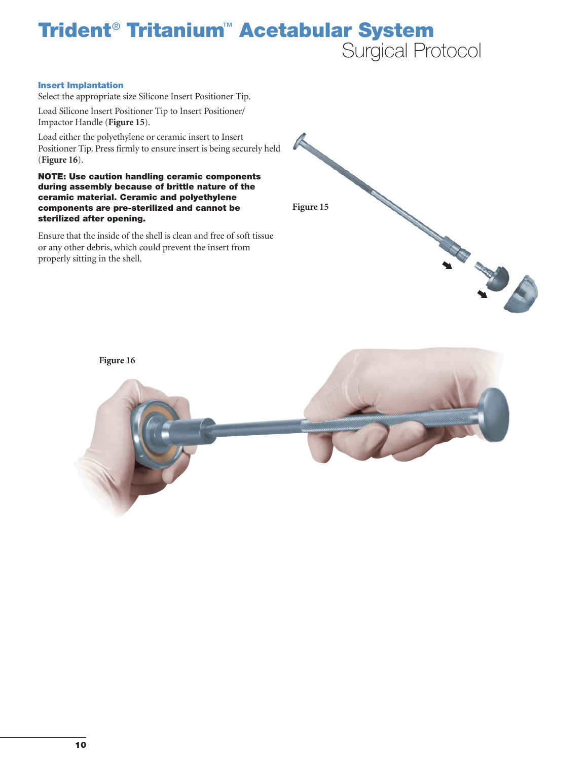#### **Insert Implantation**

Select the appropriate size Silicone Insert Positioner Tip.

Load Silicone Insert Positioner Tip to Insert Positioner/ Impactor Handle (**Figure 15**).

Load either the polyethylene or ceramic insert to Insert Positioner Tip. Press firmly to ensure insert is being securely held (**Figure 16**).

**NOTE: Use caution handling ceramic components during assembly because of brittle nature of the ceramic material. Ceramic and polyethylene components are pre-sterilized and cannot be sterilized after opening.**

Ensure that the inside of the shell is clean and free of soft tissue or any other debris, which could prevent the insert from properly sitting in the shell.



**Figure 16**

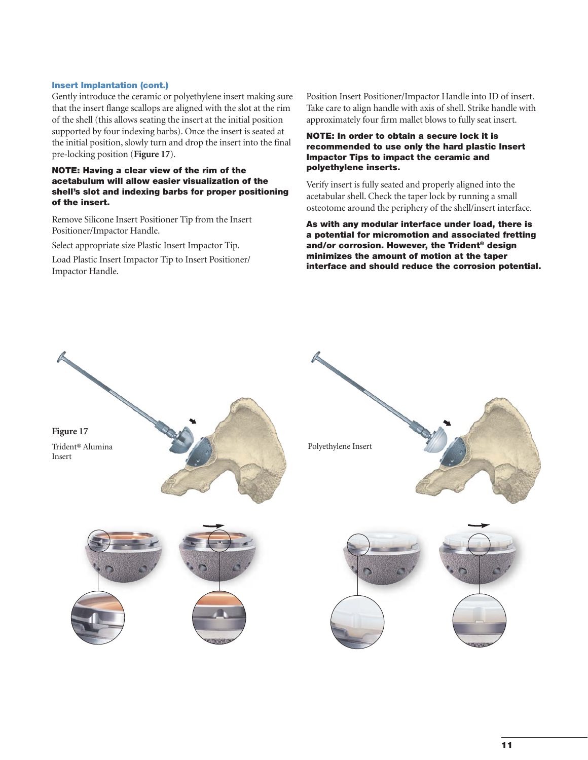#### **Insert Implantation (cont.)**

Gently introduce the ceramic or polyethylene insert making sure that the insert flange scallops are aligned with the slot at the rim of the shell (this allows seating the insert at the initial position supported by four indexing barbs). Once the insert is seated at the initial position, slowly turn and drop the insert into the final pre-locking position (**Figure 17**).

#### **NOTE: Having a clear view of the rim of the acetabulum will allow easier visualization of the shell's slot and indexing barbs for proper positioning of the insert.**

Remove Silicone Insert Positioner Tip from the Insert Positioner/Impactor Handle.

Select appropriate size Plastic Insert Impactor Tip.

Load Plastic Insert Impactor Tip to Insert Positioner/ Impactor Handle.

Position Insert Positioner/Impactor Handle into ID of insert. Take care to align handle with axis of shell. Strike handle with approximately four firm mallet blows to fully seat insert.

#### **NOTE: In order to obtain a secure lock it is recommended to use only the hard plastic Insert Impactor Tips to impact the ceramic and polyethylene inserts.**

Verify insert is fully seated and properly aligned into the acetabular shell. Check the taper lock by running a small osteotome around the periphery of the shell/insert interface.

**As with any modular interface under load, there is a potential for micromotion and associated fretting and/or corrosion. However, the Trident® design minimizes the amount of motion at the taper interface and should reduce the corrosion potential.**

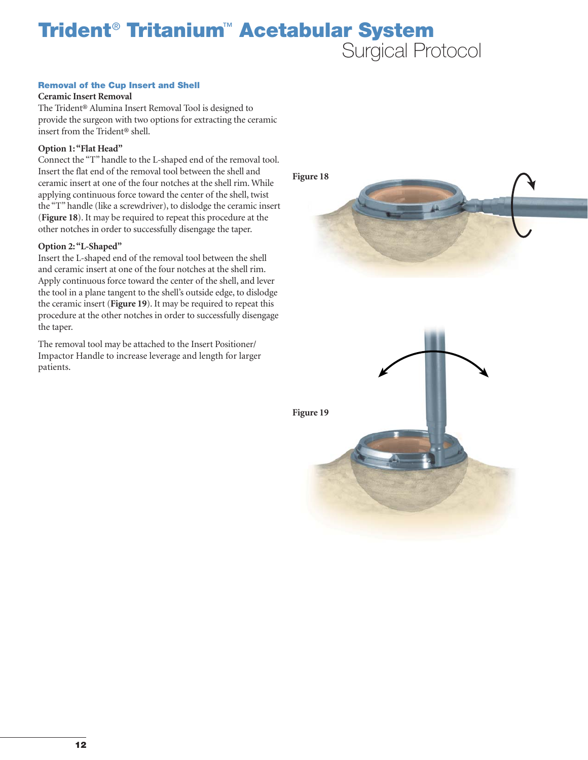#### **Removal of the Cup Insert and Shell**

#### **Ceramic Insert Removal**

The Trident® Alumina Insert Removal Tool is designed to provide the surgeon with two options for extracting the ceramic insert from the Trident® shell.

#### **Option 1: "Flat Head"**

Connect the "T" handle to the L-shaped end of the removal tool. Insert the flat end of the removal tool between the shell and ceramic insert at one of the four notches at the shell rim. While applying continuous force toward the center of the shell, twist the "T" handle (like a screwdriver), to dislodge the ceramic insert (**Figure 18**). It may be required to repeat this procedure at the other notches in order to successfully disengage the taper.

#### **Option 2: "L-Shaped"**

Insert the L-shaped end of the removal tool between the shell and ceramic insert at one of the four notches at the shell rim. Apply continuous force toward the center of the shell, and lever the tool in a plane tangent to the shell's outside edge, to dislodge the ceramic insert (**Figure 19**). It may be required to repeat this procedure at the other notches in order to successfully disengage the taper.

The removal tool may be attached to the Insert Positioner/ Impactor Handle to increase leverage and length for larger patients.

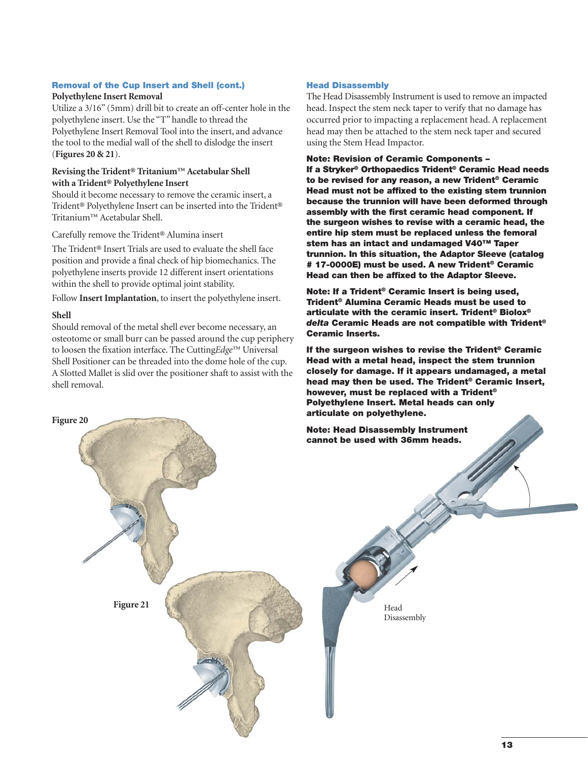## **Removal of the Cup Insert and Shell (cont.)**

#### **Polyethylene Insert Removal**

Utilize a 3/16" (5mm) drill bit to create an off-center hole in the polyethylene insert. Use the "T" handle to thread the Polyethylene Insert Removal Tool into the insert, and advance the tool to the medial wall of the shell to dislodge the insert (**Figures 20 & 21**).

#### **Revising the Trident® Tritanium™ Acetabular Shell with a Trident® Polyethylene Insert**

Should it become necessary to remove the ceramic insert, a Trident® Polyethylene Insert can be inserted into the Trident® Tritanium™ Acetabular Shell.

Carefully remove the Trident® Alumina insert

**Figure 21**

The Trident® Insert Trials are used to evaluate the shell face position and provide a final check of hip biomechanics. The polyethylene inserts provide 12 different insert orientations within the shell to provide optimal joint stability.

Follow **Insert Implantation**, to insert the polyethylene insert.

#### **Shell**

**Figure 20**

Should removal of the metal shell ever become necessary, an osteotome or small burr can be passed around the cup periphery to loosen the fixation interface. The Cutting*Edge*™ Universal Shell Positioner can be threaded into the dome hole of the cup. A Slotted Mallet is slid over the positioner shaft to assist with the shell removal.

#### **Head Disassembly**

The Head Disassembly Instrument is used to remove an impacted head. Inspect the stem neck taper to verify that no damage has occurred prior to impacting a replacement head. A replacement head may then be attached to the stem neck taper and secured using the Stem Head Impactor.

**Note: Revision of Ceramic Components –**

**If a Stryker® Orthopaedics Trident® Ceramic Head needs to be revised for any reason, a new Trident® Ceramic Head must not be affixed to the existing stem trunnion because the trunnion will have been deformed through assembly with the first ceramic head component. If the surgeon wishes to revise with a ceramic head, the entire hip stem must be replaced unless the femoral stem has an intact and undamaged V40™ Taper trunnion. In this situation, the Adaptor Sleeve (catalog # 17-0000E) must be used. A new Trident® Ceramic Head can then be affixed to the Adaptor Sleeve.** 

**Note: If a Trident® Ceramic Insert is being used, Trident® Alumina Ceramic Heads must be used to articulate with the ceramic insert. Trident® Biolox®** *delta* **Ceramic Heads are not compatible with Trident® Ceramic Inserts.** 

**If the surgeon wishes to revise the Trident® Ceramic Head with a metal head, inspect the stem trunnion closely for damage. If it appears undamaged, a metal head may then be used. The Trident® Ceramic Insert, however, must be replaced with a Trident® Polyethylene Insert. Metal heads can only articulate on polyethylene.**

**Note: Head Disassembly Instrument cannot be used with 36mm heads.**

> Head Disassembly